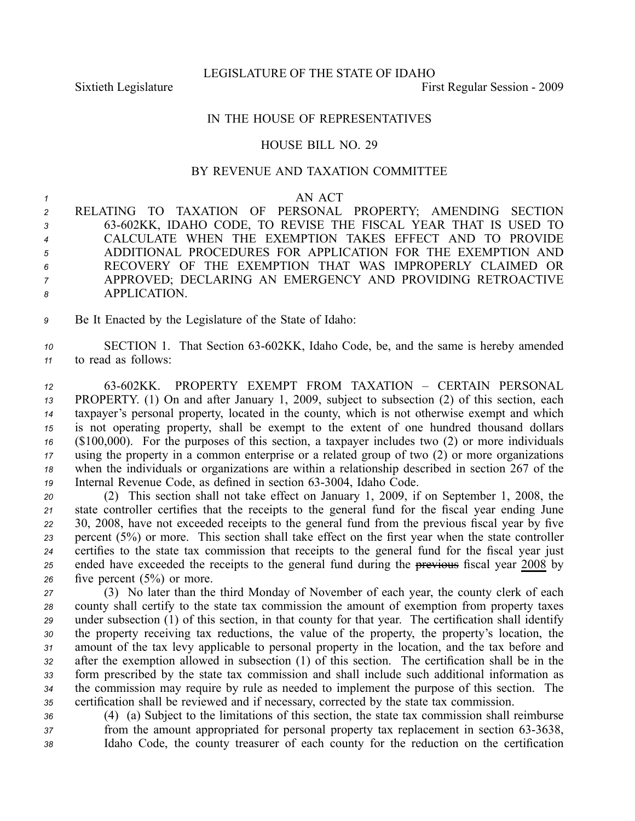LEGISLATURE OF THE STATE OF IDAHO

Sixtieth Legislature First Regular Session - 2009

## IN THE HOUSE OF REPRESENTATIVES

## HOUSE BILL NO. 29

## BY REVENUE AND TAXATION COMMITTEE

## *<sup>1</sup>* AN ACT

 RELATING TO TAXATION OF PERSONAL PROPERTY; AMENDING SECTION 63602KK, IDAHO CODE, TO REVISE THE FISCAL YEAR THAT IS USED TO CALCULATE WHEN THE EXEMPTION TAKES EFFECT AND TO PROVIDE ADDITIONAL PROCEDURES FOR APPLICATION FOR THE EXEMPTION AND RECOVERY OF THE EXEMPTION THAT WAS IMPROPERLY CLAIMED OR APPROVED; DECLARING AN EMERGENCY AND PROVIDING RETROACTIVE APPLICATION.

*<sup>9</sup>* Be It Enacted by the Legislature of the State of Idaho:

10 SECTION 1. That Section 63-602KK, Idaho Code, be, and the same is hereby amended *<sup>11</sup>* to read as follows:

 63602KK. PROPERTY EXEMPT FROM TAXATION – CERTAIN PERSONAL PROPERTY. (1) On and after January 1, 2009, subject to subsection (2) of this section, each taxpayer's personal property, located in the county, which is not otherwise exemp<sup>t</sup> and which is not operating property, shall be exemp<sup>t</sup> to the extent of one hundred thousand dollars (\$100,000). For the purposes of this section, <sup>a</sup> taxpayer includes two (2) or more individuals using the property in <sup>a</sup> common enterprise or <sup>a</sup> related group of two (2) or more organizations when the individuals or organizations are within <sup>a</sup> relationship described in section 267 of the 19 Internal Revenue Code, as defined in section 63-3004, Idaho Code.

 (2) This section shall not take effect on January 1, 2009, if on September 1, 2008, the state controller certifies that the receipts to the general fund for the fiscal year ending June 30, 2008, have not exceeded receipts to the general fund from the previous fiscal year by five percen<sup>t</sup> (5%) or more. This section shall take effect on the first year when the state controller certifies to the state tax commission that receipts to the general fund for the fiscal year just ended have exceeded the receipts to the general fund during the previous fiscal year 2008 by five percen<sup>t</sup> (5%) or more.

 (3) No later than the third Monday of November of each year, the county clerk of each county shall certify to the state tax commission the amount of exemption from property taxes under subsection (1) of this section, in that county for that year. The certification shall identify the property receiving tax reductions, the value of the property, the property's location, the amount of the tax levy applicable to personal property in the location, and the tax before and after the exemption allowed in subsection (1) of this section. The certification shall be in the form prescribed by the state tax commission and shall include such additional information as the commission may require by rule as needed to implement the purpose of this section. The certification shall be reviewed and if necessary, corrected by the state tax commission.

*<sup>36</sup>* (4) (a) Subject to the limitations of this section, the state tax commission shall reimburse *37* from the amount appropriated for personal property tax replacement in section 63-3638, *<sup>38</sup>* Idaho Code, the county treasurer of each county for the reduction on the certification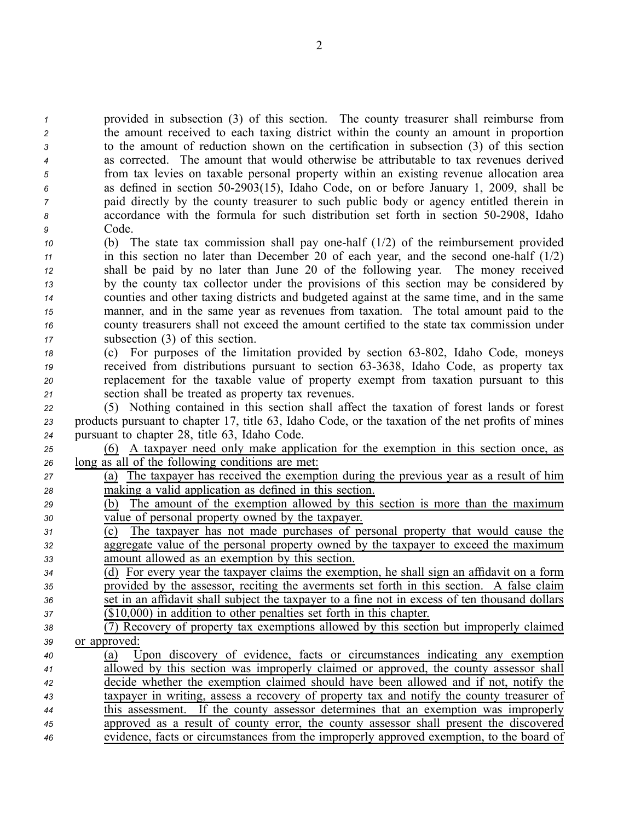provided in subsection (3) of this section. The county treasurer shall reimburse from the amount received to each taxing district within the county an amount in proportion to the amount of reduction shown on the certification in subsection (3) of this section as corrected. The amount that would otherwise be attributable to tax revenues derived from tax levies on taxable personal property within an existing revenue allocation area as defined in section 502903(15), Idaho Code, on or before January 1, 2009, shall be paid directly by the county treasurer to such public body or agency entitled therein in accordance with the formula for such distribution set forth in section 502908, Idaho *<sup>9</sup>* Code.

- *<sup>10</sup>* (b) The state tax commission shall pay onehalf (1/2) of the reimbursement provided *<sup>11</sup>* in this section no later than December 20 of each year, and the second onehalf (1/2) *<sup>12</sup>* shall be paid by no later than June 20 of the following year. The money received *<sup>13</sup>* by the county tax collector under the provisions of this section may be considered by *<sup>14</sup>* counties and other taxing districts and budgeted against at the same time, and in the same *<sup>15</sup>* manner, and in the same year as revenues from taxation. The total amount paid to the *<sup>16</sup>* county treasurers shall not exceed the amount certified to the state tax commission under *<sup>17</sup>* subsection (3) of this section.
- *18* (c) For purposes of the limitation provided by section 63-802, Idaho Code, moneys *19* received from distributions pursuant to section 63-3638, Idaho Code, as property tax *<sup>20</sup>* replacement for the taxable value of property exemp<sup>t</sup> from taxation pursuan<sup>t</sup> to this *<sup>21</sup>* section shall be treated as property tax revenues.

*<sup>22</sup>* (5) Nothing contained in this section shall affect the taxation of forest lands or forest *<sup>23</sup>* products pursuan<sup>t</sup> to chapter 17, title 63, Idaho Code, or the taxation of the net profits of mines *<sup>24</sup>* pursuan<sup>t</sup> to chapter 28, title 63, Idaho Code.

*<sup>25</sup>* (6) A taxpayer need only make application for the exemption in this section once, as *<sup>26</sup>* long as all of the following conditions are met:

 (a) The taxpayer has received the exemption during the previous year as <sup>a</sup> result of him making <sup>a</sup> valid application as defined in this section. (b) The amount of the exemption allowed by this section is more than the maximum value of personal property owned by the taxpayer. (c) The taxpayer has not made purchases of personal property that would cause the aggregate value of the personal property owned by the taxpayer to exceed the maximum amount allowed as an exemption by this section. (d) For every year the taxpayer claims the exemption, he shall sign an affidavit on <sup>a</sup> form

*<sup>35</sup>* provided by the assessor, reciting the averments set forth in this section. A false claim *<sup>36</sup>* set in an affidavit shall subject the taxpayer to <sup>a</sup> fine not in excess of ten thousand dollars *<sup>37</sup>* (\$10,000) in addition to other penalties set forth in this chapter.

- *<sup>38</sup>* (7) Recovery of property tax exemptions allowed by this section but improperly claimed *<sup>39</sup>* or approved:
- *<sup>40</sup>* (a) Upon discovery of evidence, facts or circumstances indicating any exemption *<sup>41</sup>* allowed by this section was improperly claimed or approved, the county assessor shall *<sup>42</sup>* decide whether the exemption claimed should have been allowed and if not, notify the *<sup>43</sup>* taxpayer in writing, assess <sup>a</sup> recovery of property tax and notify the county treasurer of *<sup>44</sup>* this assessment. If the county assessor determines that an exemption was improperly *<sup>45</sup>* approved as <sup>a</sup> result of county error, the county assessor shall presen<sup>t</sup> the discovered *<sup>46</sup>* evidence, facts or circumstances from the improperly approved exemption, to the board of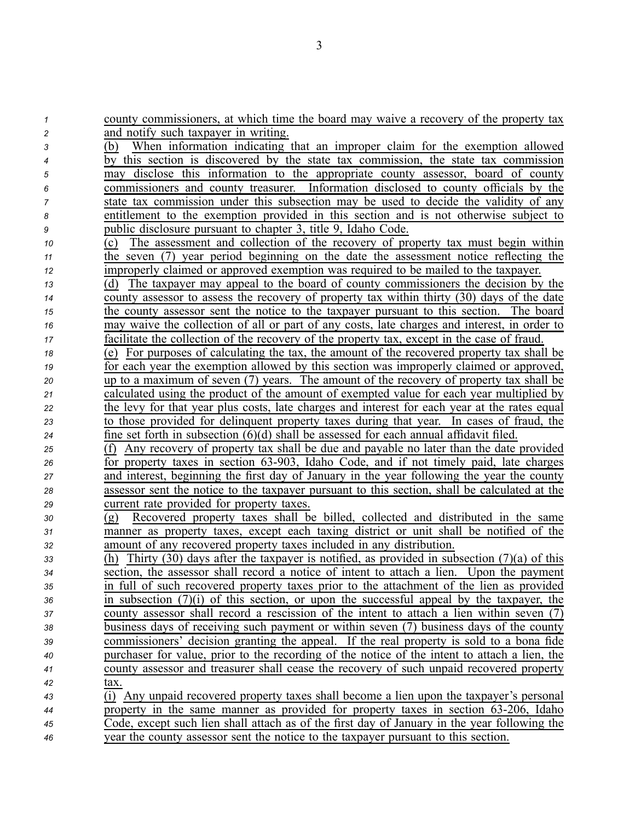| 1  | county commissioners, at which time the board may waive a recovery of the property tax           |
|----|--------------------------------------------------------------------------------------------------|
| 2  | and notify such taxpayer in writing.                                                             |
| 3  | When information indicating that an improper claim for the exemption allowed<br>(b)              |
| 4  | by this section is discovered by the state tax commission, the state tax commission              |
| 5  | disclose this information to the appropriate county assessor, board of county<br>may             |
| 6  | commissioners and county treasurer. Information disclosed to county officials by the             |
| 7  | state tax commission under this subsection may be used to decide the validity of any             |
| 8  | entitlement to the exemption provided in this section and is not otherwise subject to            |
| 9  | public disclosure pursuant to chapter 3, title 9, Idaho Code.                                    |
| 10 | The assessment and collection of the recovery of property tax must begin within<br>(c)           |
| 11 | the seven (7) year period beginning on the date the assessment notice reflecting the             |
| 12 | improperly claimed or approved exemption was required to be mailed to the taxpayer.              |
| 13 | The taxpayer may appeal to the board of county commissioners the decision by the<br>(d)          |
| 14 | county assessor to assess the recovery of property tax within thirty (30) days of the date       |
| 15 | the county assessor sent the notice to the taxpayer pursuant to this section. The board          |
| 16 | may waive the collection of all or part of any costs, late charges and interest, in order to     |
| 17 | facilitate the collection of the recovery of the property tax, except in the case of fraud.      |
| 18 | (e) For purposes of calculating the tax, the amount of the recovered property tax shall be       |
| 19 | for each year the exemption allowed by this section was improperly claimed or approved,          |
| 20 | up to a maximum of seven (7) years. The amount of the recovery of property tax shall be          |
| 21 | calculated using the product of the amount of exempted value for each year multiplied by         |
| 22 | the levy for that year plus costs, late charges and interest for each year at the rates equal    |
| 23 | to those provided for delinquent property taxes during that year. In cases of fraud, the         |
| 24 | fine set forth in subsection $(6)(d)$ shall be assessed for each annual affidavit filed.         |
| 25 | Any recovery of property tax shall be due and payable no later than the date provided<br>(f)     |
| 26 | for property taxes in section 63-903, Idaho Code, and if not timely paid, late charges           |
| 27 | and interest, beginning the first day of January in the year following the year the county       |
| 28 | assessor sent the notice to the taxpayer pursuant to this section, shall be calculated at the    |
| 29 | current rate provided for property taxes.                                                        |
| 30 | Recovered property taxes shall be billed, collected and distributed in the same<br>(g)           |
| 31 | manner as property taxes, except each taxing district or unit shall be notified of the           |
| 32 | amount of any recovered property taxes included in any distribution.                             |
| 33 | Thirty (30) days after the taxpayer is notified, as provided in subsection (7)(a) of this<br>(h) |
| 34 | section, the assessor shall record a notice of intent to attach a lien. Upon the payment         |
| 35 | in full of such recovered property taxes prior to the attachment of the lien as provided         |
| 36 | in subsection $(7)(i)$ of this section, or upon the successful appeal by the taxpayer, the       |
| 37 | county assessor shall record a rescission of the intent to attach a lien within seven (7)        |
| 38 | business days of receiving such payment or within seven (7) business days of the county          |
| 39 | commissioners' decision granting the appeal. If the real property is sold to a bona fide         |
| 40 | purchaser for value, prior to the recording of the notice of the intent to attach a lien, the    |
| 41 | county assessor and treasurer shall cease the recovery of such unpaid recovered property         |
| 42 | tax.                                                                                             |
| 43 | (i) Any unpaid recovered property taxes shall become a lien upon the taxpayer's personal         |
| 44 | property in the same manner as provided for property taxes in section 63-206, Idaho              |
| 45 | Code, except such lien shall attach as of the first day of January in the year following the     |
| 46 | year the county assessor sent the notice to the taxpayer pursuant to this section.               |

3